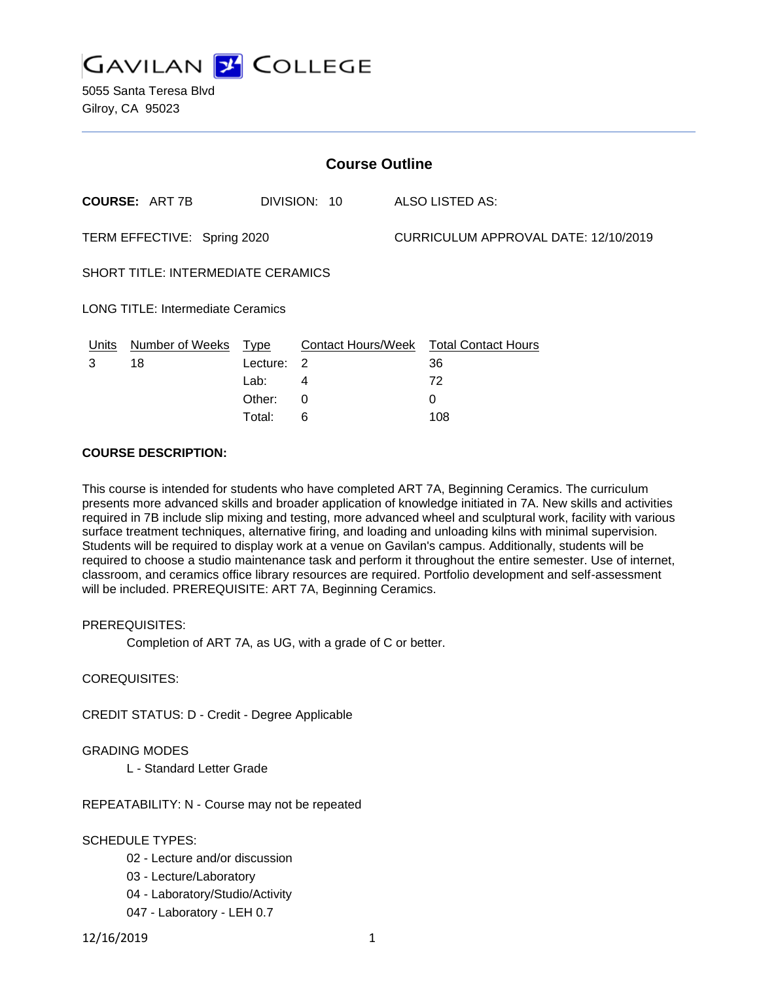

| <b>Course Outline</b>                    |                                       |          |                |                                      |                                        |
|------------------------------------------|---------------------------------------|----------|----------------|--------------------------------------|----------------------------------------|
|                                          | <b>COURSE: ART 7B</b><br>DIVISION: 10 |          |                | ALSO LISTED AS:                      |                                        |
| TERM EFFECTIVE: Spring 2020              |                                       |          |                | CURRICULUM APPROVAL DATE: 12/10/2019 |                                        |
| SHORT TITLE: INTERMEDIATE CERAMICS       |                                       |          |                |                                      |                                        |
| <b>LONG TITLE: Intermediate Ceramics</b> |                                       |          |                |                                      |                                        |
| Units                                    | Number of Weeks                       | Type     |                |                                      | Contact Hours/Week Total Contact Hours |
| 3                                        | 18                                    | Lecture: | $\overline{2}$ |                                      | 36                                     |
|                                          |                                       | Lab:     | 4              |                                      | 72                                     |
|                                          |                                       | Other:   | $\Omega$       |                                      | 0                                      |
|                                          |                                       | Total:   | 6              |                                      | 108                                    |

#### **COURSE DESCRIPTION:**

This course is intended for students who have completed ART 7A, Beginning Ceramics. The curriculum presents more advanced skills and broader application of knowledge initiated in 7A. New skills and activities required in 7B include slip mixing and testing, more advanced wheel and sculptural work, facility with various surface treatment techniques, alternative firing, and loading and unloading kilns with minimal supervision. Students will be required to display work at a venue on Gavilan's campus. Additionally, students will be required to choose a studio maintenance task and perform it throughout the entire semester. Use of internet, classroom, and ceramics office library resources are required. Portfolio development and self-assessment will be included. PREREQUISITE: ART 7A, Beginning Ceramics.

PREREQUISITES:

Completion of ART 7A, as UG, with a grade of C or better.

COREQUISITES:

CREDIT STATUS: D - Credit - Degree Applicable

GRADING MODES

L - Standard Letter Grade

REPEATABILITY: N - Course may not be repeated

SCHEDULE TYPES:

- 02 Lecture and/or discussion
- 03 Lecture/Laboratory
- 04 Laboratory/Studio/Activity
- 047 Laboratory LEH 0.7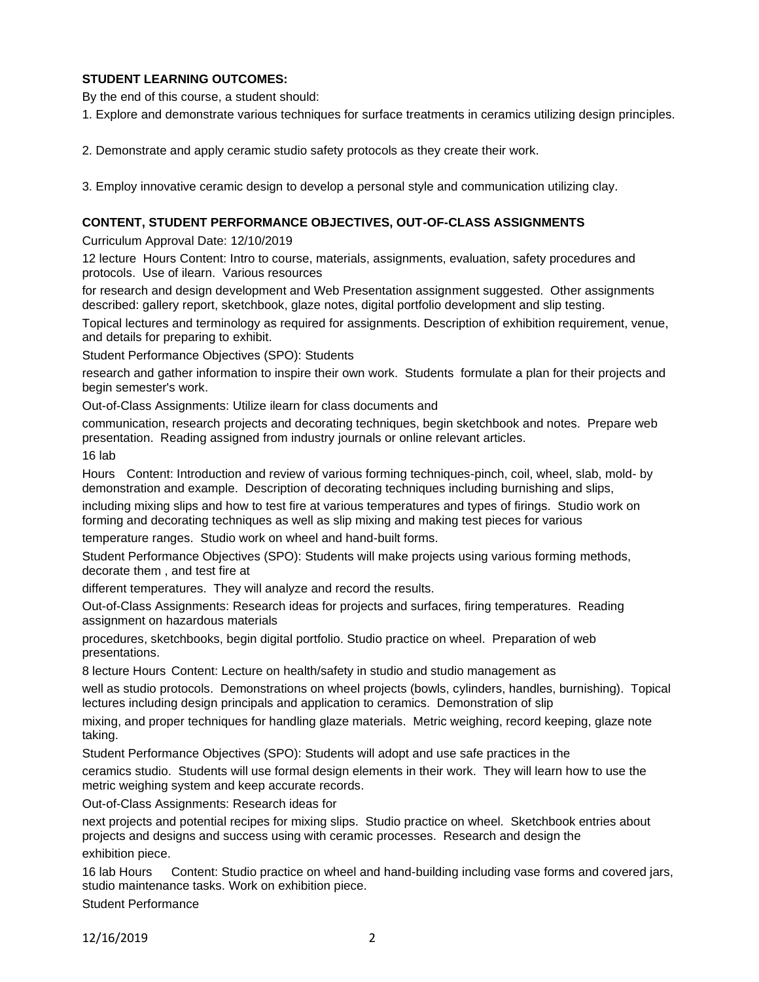# **STUDENT LEARNING OUTCOMES:**

By the end of this course, a student should:

1. Explore and demonstrate various techniques for surface treatments in ceramics utilizing design principles.

2. Demonstrate and apply ceramic studio safety protocols as they create their work.

3. Employ innovative ceramic design to develop a personal style and communication utilizing clay.

#### **CONTENT, STUDENT PERFORMANCE OBJECTIVES, OUT-OF-CLASS ASSIGNMENTS**

Curriculum Approval Date: 12/10/2019

12 lecture Hours Content: Intro to course, materials, assignments, evaluation, safety procedures and protocols. Use of ilearn. Various resources

for research and design development and Web Presentation assignment suggested. Other assignments described: gallery report, sketchbook, glaze notes, digital portfolio development and slip testing.

Topical lectures and terminology as required for assignments. Description of exhibition requirement, venue, and details for preparing to exhibit.

Student Performance Objectives (SPO): Students

research and gather information to inspire their own work. Students formulate a plan for their projects and begin semester's work.

Out-of-Class Assignments: Utilize ilearn for class documents and

communication, research projects and decorating techniques, begin sketchbook and notes. Prepare web presentation. Reading assigned from industry journals or online relevant articles.

16 lab

Hours Content: Introduction and review of various forming techniques-pinch, coil, wheel, slab, mold- by demonstration and example. Description of decorating techniques including burnishing and slips,

including mixing slips and how to test fire at various temperatures and types of firings. Studio work on forming and decorating techniques as well as slip mixing and making test pieces for various

temperature ranges. Studio work on wheel and hand-built forms.

Student Performance Objectives (SPO): Students will make projects using various forming methods, decorate them , and test fire at

different temperatures. They will analyze and record the results.

Out-of-Class Assignments: Research ideas for projects and surfaces, firing temperatures. Reading assignment on hazardous materials

procedures, sketchbooks, begin digital portfolio. Studio practice on wheel. Preparation of web presentations.

8 lecture Hours Content: Lecture on health/safety in studio and studio management as

well as studio protocols. Demonstrations on wheel projects (bowls, cylinders, handles, burnishing). Topical lectures including design principals and application to ceramics. Demonstration of slip

mixing, and proper techniques for handling glaze materials. Metric weighing, record keeping, glaze note taking.

Student Performance Objectives (SPO): Students will adopt and use safe practices in the

ceramics studio. Students will use formal design elements in their work. They will learn how to use the metric weighing system and keep accurate records.

Out-of-Class Assignments: Research ideas for

next projects and potential recipes for mixing slips. Studio practice on wheel. Sketchbook entries about projects and designs and success using with ceramic processes. Research and design the

exhibition piece.

16 lab Hours Content: Studio practice on wheel and hand-building including vase forms and covered jars, studio maintenance tasks. Work on exhibition piece.

Student Performance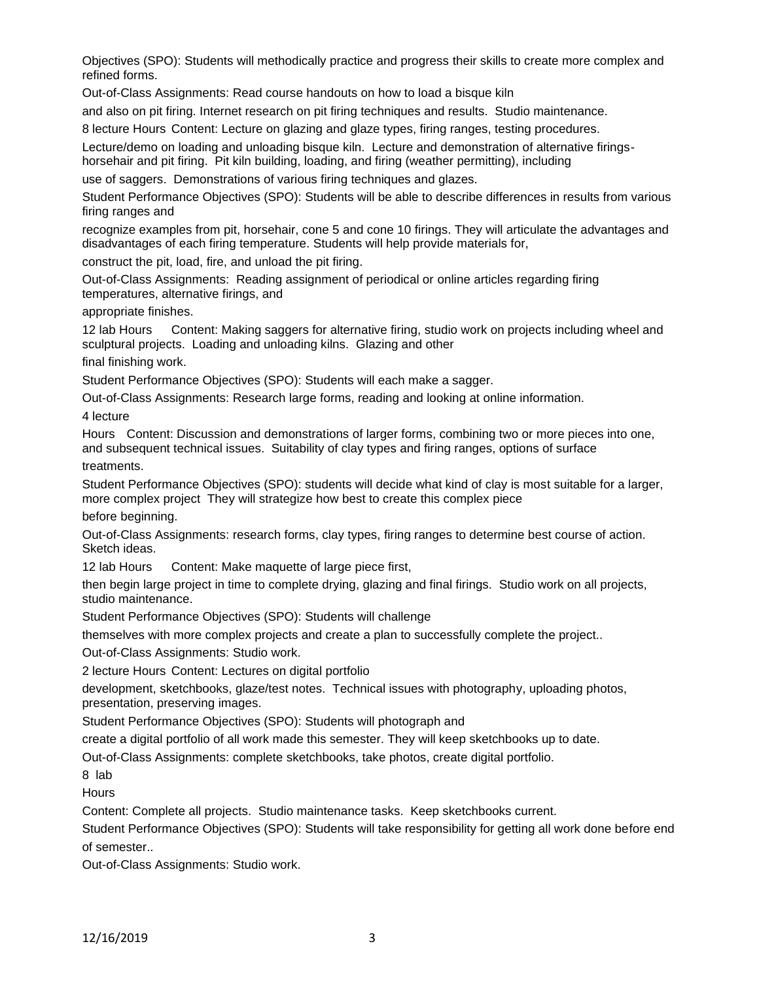Objectives (SPO): Students will methodically practice and progress their skills to create more complex and refined forms.

Out-of-Class Assignments: Read course handouts on how to load a bisque kiln

and also on pit firing. Internet research on pit firing techniques and results. Studio maintenance.

8 lecture Hours Content: Lecture on glazing and glaze types, firing ranges, testing procedures.

Lecture/demo on loading and unloading bisque kiln. Lecture and demonstration of alternative firingshorsehair and pit firing. Pit kiln building, loading, and firing (weather permitting), including

use of saggers. Demonstrations of various firing techniques and glazes.

Student Performance Objectives (SPO): Students will be able to describe differences in results from various firing ranges and

recognize examples from pit, horsehair, cone 5 and cone 10 firings. They will articulate the advantages and disadvantages of each firing temperature. Students will help provide materials for,

construct the pit, load, fire, and unload the pit firing.

Out-of-Class Assignments: Reading assignment of periodical or online articles regarding firing temperatures, alternative firings, and

appropriate finishes.

12 lab Hours Content: Making saggers for alternative firing, studio work on projects including wheel and sculptural projects. Loading and unloading kilns. Glazing and other

final finishing work.

Student Performance Objectives (SPO): Students will each make a sagger.

Out-of-Class Assignments: Research large forms, reading and looking at online information.

4 lecture

Hours Content: Discussion and demonstrations of larger forms, combining two or more pieces into one, and subsequent technical issues. Suitability of clay types and firing ranges, options of surface treatments.

Student Performance Objectives (SPO): students will decide what kind of clay is most suitable for a larger, more complex project They will strategize how best to create this complex piece before beginning.

Out-of-Class Assignments: research forms, clay types, firing ranges to determine best course of action. Sketch ideas.

12 lab Hours Content: Make maquette of large piece first,

then begin large project in time to complete drying, glazing and final firings. Studio work on all projects, studio maintenance.

Student Performance Objectives (SPO): Students will challenge

themselves with more complex projects and create a plan to successfully complete the project..

Out-of-Class Assignments: Studio work.

2 lecture Hours Content: Lectures on digital portfolio

development, sketchbooks, glaze/test notes. Technical issues with photography, uploading photos, presentation, preserving images.

Student Performance Objectives (SPO): Students will photograph and

create a digital portfolio of all work made this semester. They will keep sketchbooks up to date.

Out-of-Class Assignments: complete sketchbooks, take photos, create digital portfolio.

8 lab

**Hours** 

Content: Complete all projects. Studio maintenance tasks. Keep sketchbooks current.

Student Performance Objectives (SPO): Students will take responsibility for getting all work done before end of semester..

Out-of-Class Assignments: Studio work.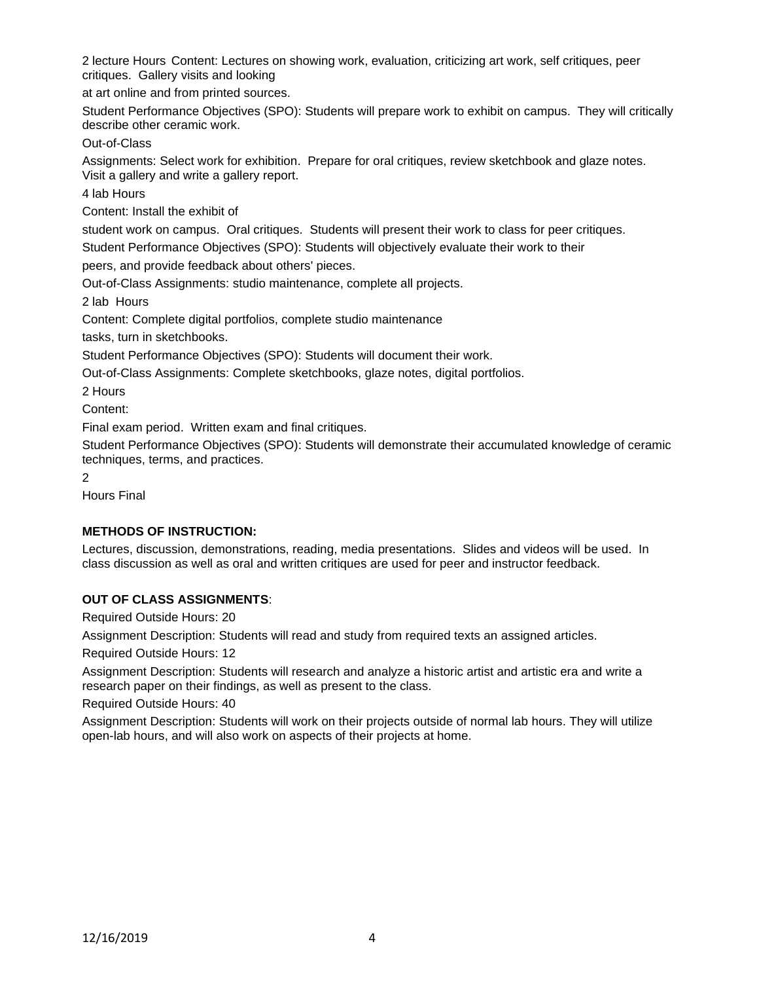2 lecture Hours Content: Lectures on showing work, evaluation, criticizing art work, self critiques, peer critiques. Gallery visits and looking

at art online and from printed sources.

Student Performance Objectives (SPO): Students will prepare work to exhibit on campus. They will critically describe other ceramic work.

Out-of-Class

Assignments: Select work for exhibition. Prepare for oral critiques, review sketchbook and glaze notes. Visit a gallery and write a gallery report.

4 lab Hours

Content: Install the exhibit of

student work on campus. Oral critiques. Students will present their work to class for peer critiques.

Student Performance Objectives (SPO): Students will objectively evaluate their work to their

peers, and provide feedback about others' pieces.

Out-of-Class Assignments: studio maintenance, complete all projects.

2 lab Hours

Content: Complete digital portfolios, complete studio maintenance

tasks, turn in sketchbooks.

Student Performance Objectives (SPO): Students will document their work.

Out-of-Class Assignments: Complete sketchbooks, glaze notes, digital portfolios.

2 Hours

Content:

Final exam period. Written exam and final critiques.

Student Performance Objectives (SPO): Students will demonstrate their accumulated knowledge of ceramic techniques, terms, and practices.

2

Hours Final

## **METHODS OF INSTRUCTION:**

Lectures, discussion, demonstrations, reading, media presentations. Slides and videos will be used. In class discussion as well as oral and written critiques are used for peer and instructor feedback.

## **OUT OF CLASS ASSIGNMENTS**:

Required Outside Hours: 20

Assignment Description: Students will read and study from required texts an assigned articles.

Required Outside Hours: 12

Assignment Description: Students will research and analyze a historic artist and artistic era and write a research paper on their findings, as well as present to the class.

Required Outside Hours: 40

Assignment Description: Students will work on their projects outside of normal lab hours. They will utilize open-lab hours, and will also work on aspects of their projects at home.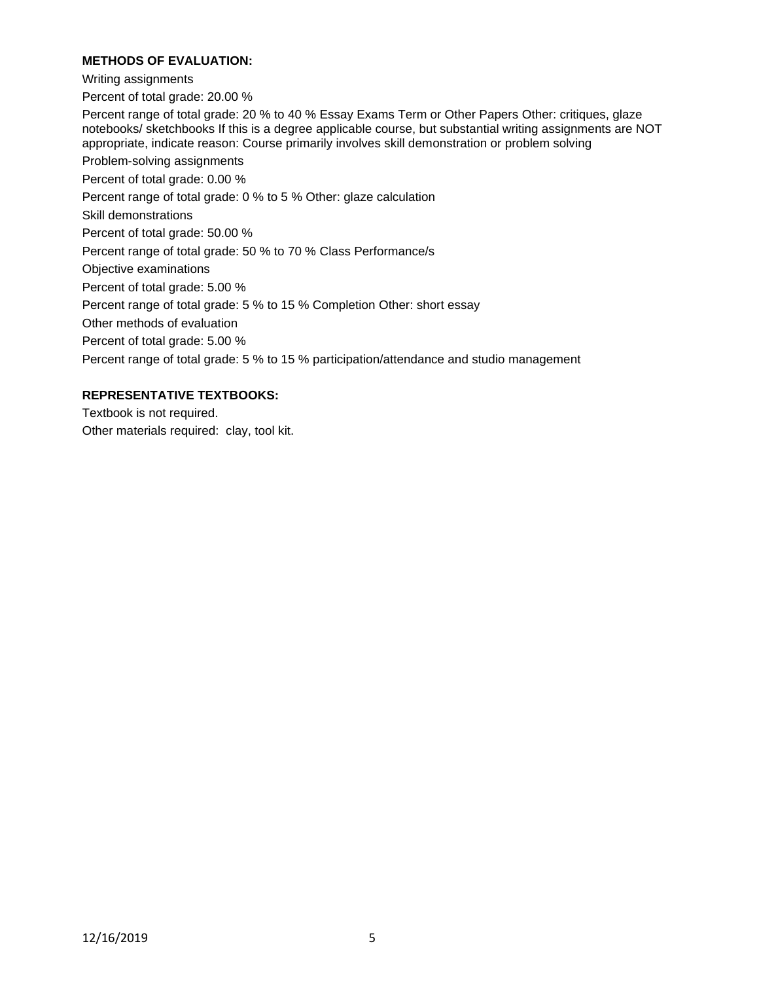## **METHODS OF EVALUATION:**

Writing assignments

Percent of total grade: 20.00 %

Percent range of total grade: 20 % to 40 % Essay Exams Term or Other Papers Other: critiques, glaze notebooks/ sketchbooks If this is a degree applicable course, but substantial writing assignments are NOT appropriate, indicate reason: Course primarily involves skill demonstration or problem solving

Problem-solving assignments

Percent of total grade: 0.00 %

Percent range of total grade: 0 % to 5 % Other: glaze calculation

Skill demonstrations

Percent of total grade: 50.00 %

Percent range of total grade: 50 % to 70 % Class Performance/s

Objective examinations

Percent of total grade: 5.00 %

Percent range of total grade: 5 % to 15 % Completion Other: short essay

Other methods of evaluation

Percent of total grade: 5.00 %

Percent range of total grade: 5 % to 15 % participation/attendance and studio management

## **REPRESENTATIVE TEXTBOOKS:**

Textbook is not required. Other materials required: clay, tool kit.